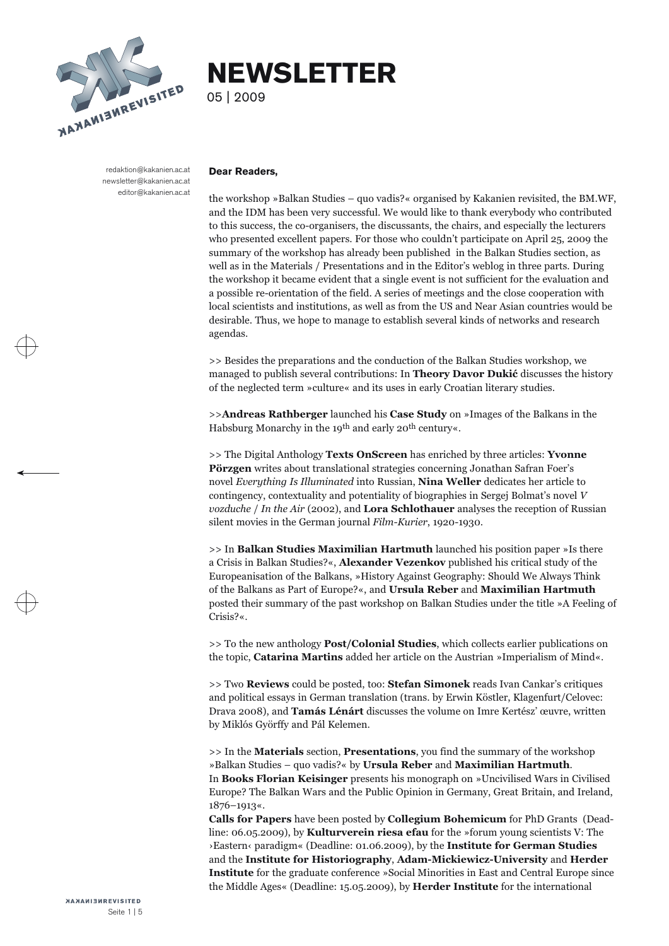

# **NEWSLETTER**

05 | 2009

redaktion@kakanien.ac.at newsletter@kakanien.ac.at editor@kakanien.ac.at

#### **Dear Readers,**

the workshop »Balkan Studies – quo vadis?« organised by Kakanien revisited, the BM.WF, and the IDM has been very successful. We would like to thank everybody who contributed to this success, the co-organisers, the discussa

 $\gg$  Besides the preparations and the conduction of the Balkan Studies workshop, we managed to publish several contributions: In **Theory Davor Dukić** discusses the history of the neglected term »culture« and its uses in e

>>**Andreas Rathberger** launched his **Case Study** on »Images of the Balkans in the Habsburg Monarchy in the 19th and early 20th century«.

>> The Digital Anthology **Texts OnScreen** has enriched by three articles: **Yvonne Pörzgen** writes about translational strategies concerning Jonathan Safran Foer's novel *Everything Is Illuminated* into Russian, **Nina Weller** dedicates her article to contingency, contextuality and potentiality of biogra *vozduche* / *In the Air* (2002), and **Lora Schlothauer** analyses the reception of Russian silent movies in the German journal *Film-Kurier*, 1920-1930.

>> In Balkan Studies Maximilian Hartmuth launched his position paper »Is there a Crisis in Balkan Studies?«, Alexander Vezenkov published his critical study of the Europeanisation of the Balkans, »History Against Geography posted their summary of the past workshop on Balkan Studies under the title »A Feeling of Crisis?«.

>> To the new anthology **Post/Colonial Studies**, which collects earlier publications on the topic, **Catarina Martins** added her article on the Austrian »Imperialism of Mind«.<br>>> Two **Reviews** could be posted, too: **Stefan** 

>> In the **Materials** section, **Presentations**, you find the summary of the workshop »Balkan Studies – quo vadis?« by **Ursula Reber** and **Maximilian Hartmuth**. In **Books Florian Keisinger** presents his monograph on »Uncivilised Wars in Civilised Europe? The Balkan Wars and the Public Opinion in Germany, Great Britain, and Ireland, 1876–1913«.

**Calls for Papers** have been posted by **Collegium Bohemicum** for PhD Grants (Dead line: 06.05.2009), by **Kulturverein riesa efau** for the »forum young scientists V: The ›Eastern‹ paradigm« (Deadline: 01.06.2009), by the **Institute for German Studies** and the **Institute for Historiography**, **Adam-Mickiewicz-University** and **Herder Institute** for the graduate conference »Social Minorities in East and Central Europe since the Middle Ages« (Deadline: 15.05.2009), by **Herder Institute** for the international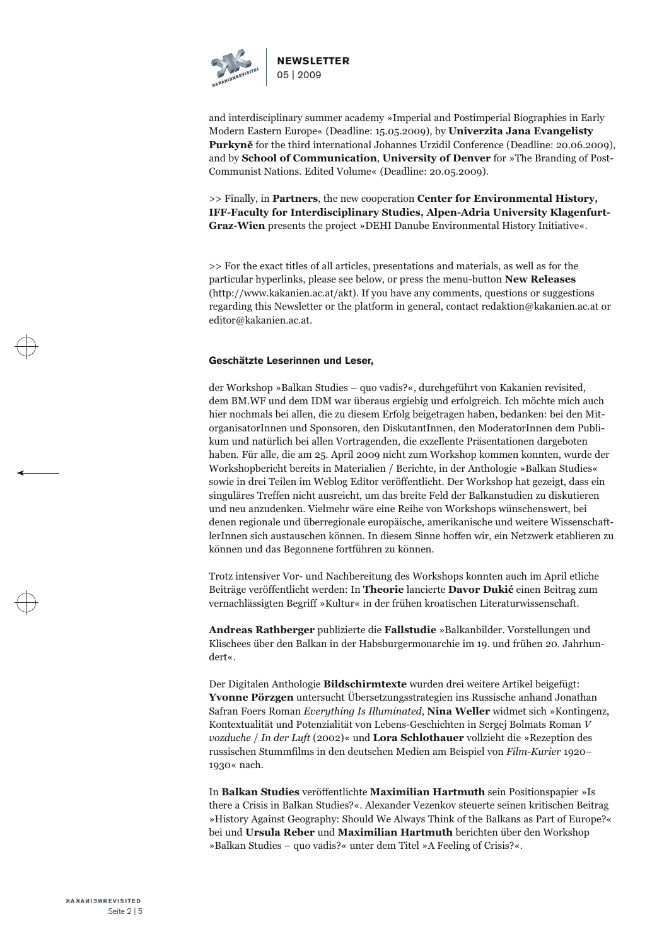

and interdisciplinary summer academy »Imperial and Postimperial Biographies in Early Modern Eastern Europe« (Deadline: 15.05.2009), by **Univerzita Jana Evangelisty Purkyně** for the third international Johannes Urzidil Conference (Deadline: 20.06.2009), and by **School of Communication**, **University of Denver** for »The Branding of Post- Communist Nations. Edited Volume« (Deadline: 20.05.2009).

>> Finally, in **Partners**, the new cooperation **Center for Environmental History, IFF-Faculty for Interdisciplinary Studies, Alpen-Adria University Klagenfurt-Graz-Wien** presents the project »DEHI Danube Environmental History Initiative«.

>> For the exact titles of all articles, presentations and materials, as well as for the particular hyperlinks, please see below, or press the menu-button **New Releases** ([http://www.kakanien.ac.at/akt\)](http://www.kakanien.ac.at/akt). If you have any comments, questions or suggestions regarding this Newsletter or the platform in general, contact redaktion@kakanien.ac.at or editor@kakanien.ac.at.

#### **Geschätzte Leserinnen und Leser,**

der Workshop »Balkan Studies – quo vadis?«, durchgeführt von Kakanien revisited,<br>dem BM.WF und dem IDM war überaus ergiebig und erfolgreich. Ich möchte mich auch<br>hier nochmals bei allen, die zu diesem Erfolg beigetragen ha organisatorInnen und Sponsoren, den DiskutantInnen, den ModeratorInnen dem Publi kum und natürlich bei allen Vortragenden, die exzellente Präsentationen dargeboten<br>haben. Für alle, die am 25. April 2009 nicht zum Workshop kommen konnten, wurde der<br>Workshopbericht bereits in Materialien / Berichte, in d

ler<br>Innen sich austauschen können. In diesem Sinne hoffen wir, ein Netzwerk etablieren zu<br>können und das Begonnene fortführen zu können.<br>Trotz intensiver Vor- und Nachbereitung des Workshops konnten auch im April etliche<br>B

**Andreas Rathberger** publizierte die **Fallstudie** »Balkanbilder. Vorstellungen und Klischees über den Balkan in der Habsburgermonarchie im 19. und frühen 20. Jahrhun dert«.

Der Digitalen Anthologie **Bildschirmtexte** wurden drei weitere Artikel beigefügt: Yvonne Pörzgen untersucht Übersetzungsstrategien ins Russische anhand Jonathan<br>Safran Foers Roman Everything Is Illuminated, Nina Weller widmet sich »Kontingenz,<br>Kontextualität und Potenzialität von Lebens-Geschichten in S *vozduche* / *In der Luft* (2002)« und **Lora Schlothauer** vollzieht die »Rezeption des russischen Stummfilms in den deutschen Medien am Beispiel von *Film-Kurier* 1920– 1930« nach.

In **Balkan Studies** veröffentlichte **Maximilian Hartmuth** sein Positionspapier »Is<br>there a Crisis in Balkan Studies?«. Alexander Vezenkov steuerte seinen kritischen Beitrag<br>»History Against Geography: Should We Always Thi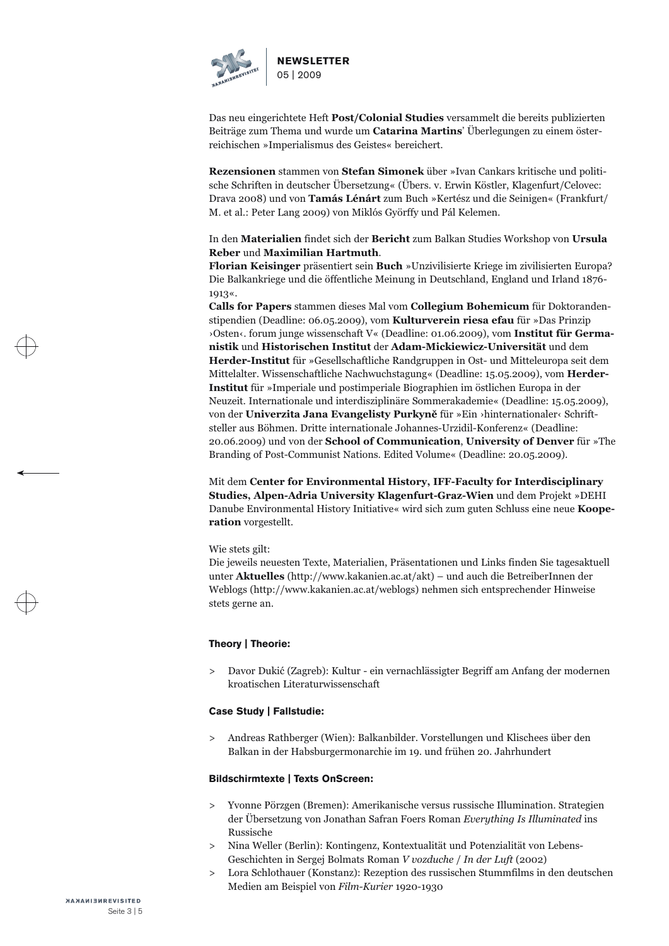

Das neu eingerichtete Heft **Post/Colonial Studies** versammelt die bereits publizierten Beiträge zum Thema und wurde um **Catarina Martins**' Überlegungen zu einem öster reichischen »Imperialismus des Geistes« bereichert.

**Rezensionen** stammen von **Stefan Simonek** über »Ivan Cankars kritische und politi sche Schriften in deutscher Übersetzung« (Übers. v. Erwin Köstler, Klagenfurt/Celovec: Drava 2008) und von **Tamás Lénárt** zum Buch »Kertész und die Seinigen« (Frankfurt/ M. et al.: Peter Lang 2009) von Miklós Györffy und Pál Kelemen.

# In den **Materialien** findet sich der **Bericht** zum Balkan Studies Workshop von **Ursula Reber** und **Maximilian Hartmuth**.

**Florian Keisinger** präsentiert sein **Buch** »Unzivilisierte Kriege im zivilisierten Europa? Die Balkankriege und die öffentliche Meinung in Deutschland, England und Irland 1876- 1913«.

**Calls for Papers** stammen dieses Mal vom **Collegium Bohemicum** für Doktoranden stipendien (Deadline: 06.05.2009), vom **Kulturverein riesa efau** für »Das Prinzip ›Osten‹. forum junge wissenschaft V« (Deadline: 01.06.2009), vom **Institut für Germanistik** und **Historischen Institut** der **Adam-Mickiewicz-Universität** und dem **Herder-Institut** für »Gesellschaftliche Randgruppen in Ost- und Mitteleuropa seit dem Mittelalter. Wissenschaftliche Nachwuchstagung« (Deadline: 15.05.2009), vom **Herder-**Institut für »Imperiale und postimperiale Biographien im östlichen Europa in der Neuzeit. Internationale und interdisziplinäre Sommerakademie« (Deadline: 15.05.2009), von der Univerzita Jana Evangelisty Purkyně für »Ein ›h steller aus Böhmen. Dritte internationale Johannes-Urzidil-Konferenz« (Deadline: 20.06.2009) und von der School of Communication, University of Denver für »The Branding of Post-Communist Nations. Edited Volume« (Deadline:

Mit dem **Center for Environmental History, IFF-Faculty for Interdisciplinary Studies, Alpen-Adria University Klagenfurt-Graz-Wien** und dem Projekt »DEHI Danube Environmental History Initiative« wird sich zum guten Schluss eine neue **Kooperation** vorgestellt.

Wie stets gilt:<br>Die jeweils neuesten Texte, Materialien, Präsentationen und Links finden Sie tagesaktuell<br>unter **Aktuelles** (http://www.kakanien.ac.at/akt) – und auch die BetreiberInnen der<br>Weblogs (http://www.kakanien.ac.

# **Theory | Theorie:**

[Davor Dukić \(Zagreb\): Kultur - ein vernachlässigter Begriff am Anfang der modernen kroatischen Literaturwissenschaft](http://www.kakanien.ac.at/beitr/theorie/DDukic1.pdf/abstract) >

#### **Case Study | Fallstudie:**

[Andreas Rathberger \(Wien\): Balkanbilder. Vorstellungen und Klischees über den Balkan in der Habsburgermonarchie im 19. und frühen 20. Jahrhundert](http://www.kakanien.ac.at/beitr/fallstudie/ARathberger1.pdf/abstract) >

#### **Bildschirmtexte | Texts OnScreen:**

- [Yvonne Pörzgen \(Bremen\): Amerikanische versus russische Illumination. Strategien der Übersetzung von Jonathan Safran Foers Roman](http://www.kakanien.ac.at/beitr/jfsl08/YPoerzgen1.pdf/abstract) *Everything Is Illuminated* ins Russische >
- [Nina Weller \(Berlin\): Kontingenz, Kontextualität und Potenzialität von Lebens-](http://www.kakanien.ac.at/beitr/jfsl08/NWeiler1.pdf/abstract) Geschichten in Sergej Bolmats Roman *V vozduche* / *In der Luft* (2002)  $\rightarrow$
- [Lora Schlothauer \(Konstanz\): Rezeption des russischen Stummfilms in den deutschen Medien am Beispiel von](http://www.kakanien.ac.at/beitr/jfsl08/LSchlothauer1.pdf/abstract) *Film-Kurier* 1920-1930 >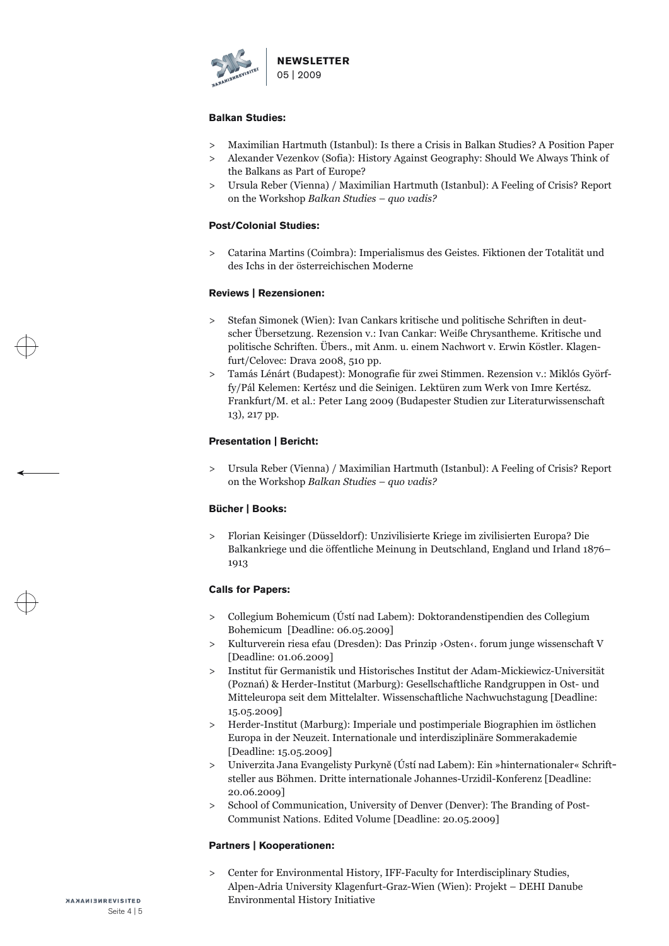

#### **Balkan Studies:**

- [Maximilian Hartmuth \(Istanbul\): Is there a Crisis in Balkan Studies? A Position Paper](http://www.kakanien.ac.at/beitr/balkans/MHartmuth1.pdf/abstract)  $\rightarrow$
- [Alexander Vezenkov \(Sofia\): History Against Geography: Should We Always Think of the Balkans as Part of Europe?](http://www.kakanien.ac.at/beitr/balkans/AVezenkov1.pdf/abstract)  $\rightarrow$
- [Ursula Reber \(Vienna\) / Maximilian Hartmuth \(Istanbul\): A Feeling of Crisis? Report on the Workshop](http://www.kakanien.ac.at/balkans/UReber_MHartmuth1.pdf/abstract) *Balkan Studies quo vadis?*  $\geq$

# **Post/Colonial Studies:**

[Catarina Martins \(Coimbra\): Imperialismus des Geistes. Fiktionen der Totalität und des Ichs in der österreichischen Moderne](http://www.kakanien.ac.at/beitr/postcol/CMartins1.pdf/abstract)  $\geq$ 

# **Reviews | Rezensionen:**

- Stefan Simonek (Wien): Ivan Cankars kritische und politische Schriften in deut [scher Übersetzung. Rezension v.: Ivan Cankar: Weiße Chrysantheme. Kritische und politische Schriften. Übers., mit Anm. u. einem Nachwort v. Erwin Köstler. Klagen](http://www.kakanien.ac.at/rez/SSimonek11.pdf) furt/Celovec: Drava 2008, 510 pp.  $\geq$
- Tamás Lénárt (Budapest): Monografie für zwei Stimmen. Rezension v.: Miklós Györf [fy/Pál Kelemen: Kertész und die Seinigen. Lektüren zum Werk von Imre Kertész. Frankfurt/M. et al.: Peter Lang 2009 \(Budapester Studien zur Literaturwissenschaft 13\), 217 pp.](http://www.kakanien.ac.at/rez/TLenart2.pdf) >

# **Presentation | Bericht:**

[Ursula Reber \(Vienna\) / Maximilian Hartmuth \(Istanbul\): A Feeling of Crisis? Report on the Workshop](http://www.kakanien.ac.at/mat/UReber_MHartmuth1.pdf/abstract) *Balkan Studies – quo vadis?*  $\rightarrow$ 

# **Bücher | Books:**

[Florian Keisinger \(Düsseldorf\): Unzivilisierte Kriege im zivilisierten Europa? Die Balkankriege und die öffentliche Meinung in Deutschland, England und Irland 1876–](http://www.kakanien.ac.at/mat/FKeisinger1.pdf/abstract) 1913  $\geq$ 

#### **Calls for Papers:**

- [Collegium Bohemicum \(Ústí nad Labem\): Doktorandenstipendien des Collegium Bohemicum \[Deadline: 06.05.2009\]](http://www.kakanien.ac.at/mat/Collegium_Bohemicum2.pdf/abstract)  $\geq$
- Kulturverein riesa efau (Dresden): Das Prinzip ›Osten‹. forum junge wissenschaft V<br>[Deadline: 01.06.2009]  $\geq$
- Institut für Germanistik und Historisches Institut der Adam-Mickiewicz-Universität (Poznań) & Herder-Institut (Marburg): Gesellschaftliche Randgruppen in Ost- und Mitteleuropa seit dem Mittelalter. Wissenschaftliche Nachw  $\geq$
- [Herder-Institut \(Marburg\): Imperiale und postimperiale Biographien im östlichen Europa in der Neuzeit. Internationale und interdisziplinäre Sommerakademie](http://www.kakanien.ac.at/mat/Herder_Institut11.pdf/abstract) [Deadline: 15.05.2009] >
- Univerzita Jana Evangelisty Purkyně (Ústí nad Labem): Ein »hinternationaler« Schrift[steller aus Böhmen. Dritte internationale Johannes-Urzidil-Konferenz \[Deadline: 20.06.2009\]](http://www.kakanien.ac.at/mat/Usti_nad_Labem4.pdf/abstract)  $\geq$
- [School of Communication, University of Denver \(Denver\): The Branding of Post-](http://www.kakanien.ac.at/mat/Univ_Denver1.pdf/abstract) Communist Nations. Edited Volume [Deadline: 20.05.2009]  $\geq$

#### **Partners | Kooperationen:**

[Center for Environmental History, IFF-Faculty for Interdisciplinary Studies, Alpen-Adria University Klagenfurt-Graz-Wien \(Wien\): Projekt – DEHI Danube Environmental History Initiative](http://www.kakanien.ac.at/proj/dehi.jpg/view) >